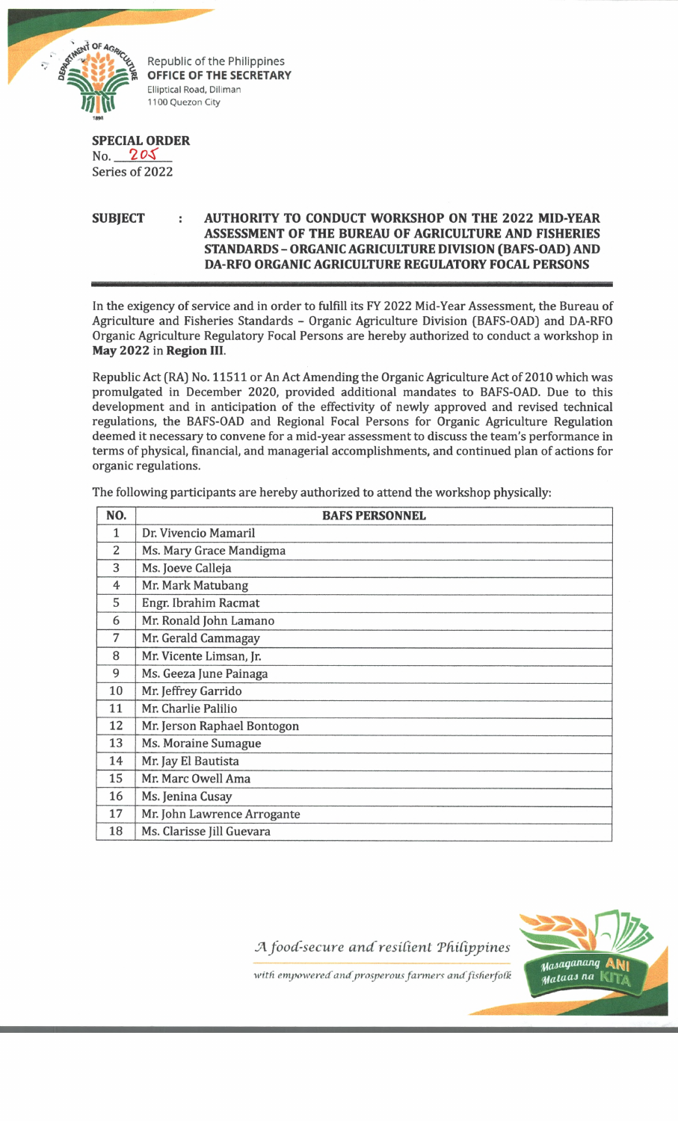

Republic of the Philippines **OFFICE OF THE SECRETARY Elliptical Road, Diliman 1100 Quezon City**

## **SPECIAL ORDER**

No. **2** Series of 2022

## **SUBJECT AUTHORITY TO CONDUCT WORKSHOP ON THE 2022 MID-YEAR ASSESSMENT OF THE BUREAU OF AGRICULTURE AND FISHERIES STANDARDS - ORGANIC AGRICULTURE DIVISION (BAFS-OAD) AND DA-RFO ORGANIC AGRICULTURE REGULATORY FOCAL PERSONS**

In the exigency of service and in order to fulfill its FY 2022 Mid-Year Assessment, the Bureau of Agriculture and Fisheries Standards - Organic Agriculture Division (BAFS-OAD) and DA-RFO Organic Agriculture Regulatory Focal Persons are hereby authorized to conduct a workshop in **May 2022** in **Region III.**

Republic Act (RA) No. 11511 or An Act Amending the Organic Agriculture Act of 2010 which was promulgated in December 2020, provided additional mandates to BAFS-OAD. Due to this development and in anticipation of the effectivity of newly approved and revised technical regulations, the BAFS-OAD and Regional Focal Persons for Organic Agriculture Regulation deemed it necessary to convene for a mid-year assessment to discuss the team's performance in terms of physical, financial, and managerial accomplishments, and continued plan of actions for organic regulations.

| NO.            | <b>BAFS PERSONNEL</b>       |
|----------------|-----------------------------|
| $\mathbf{1}$   | Dr. Vivencio Mamaril        |
| $\overline{2}$ | Ms. Mary Grace Mandigma     |
| 3              | Ms. Joeve Calleja           |
| 4              | Mr. Mark Matubang           |
| 5              | Engr. Ibrahim Racmat        |
| 6              | Mr. Ronald John Lamano      |
| 7              | Mr. Gerald Cammagay         |
| 8              | Mr. Vicente Limsan, Jr.     |
| 9              | Ms. Geeza June Painaga      |
| 10             | Mr. Jeffrey Garrido         |
| 11             | Mr. Charlie Palilio         |
| 12             | Mr. Jerson Raphael Bontogon |
| 13             | Ms. Moraine Sumague         |
| 14             | Mr. Jay El Bautista         |
| 15             | Mr. Marc Owell Ama          |
| 16             | Ms. Jenina Cusay            |
| 17             | Mr. John Lawrence Arrogante |
| 18             | Ms. Clarisse Jill Guevara   |

The following participants are hereby authorized to attend the workshop physically:

*JAfoocf secure and'resident TdiCippines*



with empowered and prosperous farmers and fisherfolk